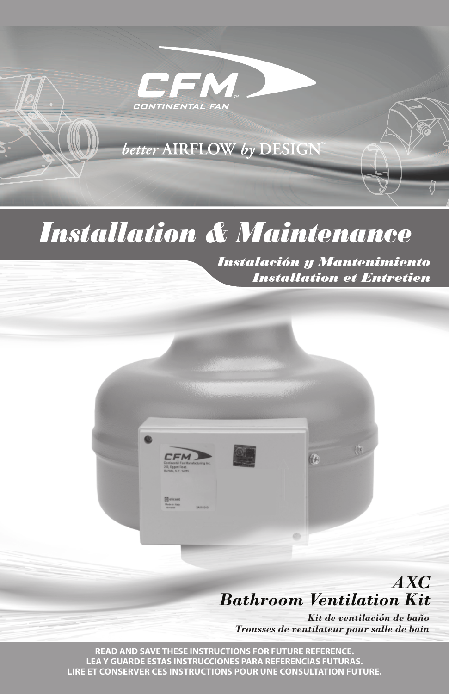

EM

CONTINENTAL FAN

**CFM** 

# *Installation & Maintenance*

*Instalación y Mantenimiento Installation et Entretien*



(4)

Ø)

*Kit de ventilación de baño Trousses de ventilateur pour salle de bain*

**READ AND SAVE THESE INSTRUCTIONS FOR FUTURE REFERENCE. LEAY GUARDE ESTAS INSTRUCCIONES PARA REFERENCIAS FUTURAS. LIRE ET CONSERVER CES INSTRUCTIONS POUR UNE CONSULTATION FUTURE.**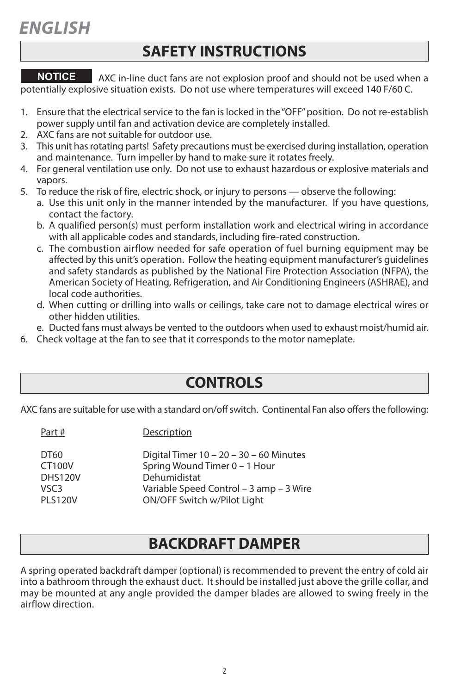### **SAFETY INSTRUCTIONS**

AXC in-line duct fans are not explosion proof and should not be used when a potentially explosive situation exists. Do not use where temperatures will exceed 140 F/60 C. **NOTICE**

- 1. Ensure that the electrical service to the fan is locked in the "OFF" position. Do not re-establish power supply until fan and activation device are completely installed.
- 2. AXC fans are not suitable for outdoor use.
- 3. This unit hasrotating parts! Safety precautions must be exercised during installation, operation and maintenance. Turn impeller by hand to make sure it rotates freely.
- 4. For general ventilation use only. Do not use to exhaust hazardous or explosive materials and vapors.
- 5. To reduce the risk of fire, electric shock, or injury to persons observe the following:
	- a. Use this unit only in the manner intended by the manufacturer. If you have questions, contact the factory.
	- b. A qualified person(s) must perform installation work and electrical wiring in accordance with all applicable codes and standards, including fire-rated construction.
	- c. The combustion airflow needed for safe operation of fuel burning equipment may be affected by this unit's operation. Follow the heating equipment manufacturer's guidelines and safety standards as published by the National Fire Protection Association (NFPA), the American Society of Heating, Refrigeration, and Air Conditioning Engineers (ASHRAE), and local code authorities.
	- d. When cutting or drilling into walls or ceilings, take care not to damage electrical wires or other hidden utilities.
	- e. Ducted fans must always be vented to the outdoors when used to exhaust moist/humid air.
- 6. Check voltage at the fan to see that it corresponds to the motor nameplate.

### **CONTROLS**

AXC fans are suitable for use with a standard on/off switch. Continental Fan also offers the following:

Part # Description

| DT60             | Digital Timer $10 - 20 - 30 - 60$ Minutes |
|------------------|-------------------------------------------|
| <b>CT100V</b>    | Spring Wound Timer 0 - 1 Hour             |
| <b>DHS120V</b>   | Dehumidistat                              |
| VSC <sub>3</sub> | Variable Speed Control – 3 amp – 3 Wire   |
| <b>PI S120V</b>  | ON/OFF Switch w/Pilot Light               |
|                  |                                           |

### **BACKDRAFT DAMPER**

A spring operated backdraft damper (optional) is recommended to prevent the entry of cold air into a bathroom through the exhaust duct. It should be installed just above the grille collar, and may be mounted at any angle provided the damper blades are allowed to swing freely in the airflow direction.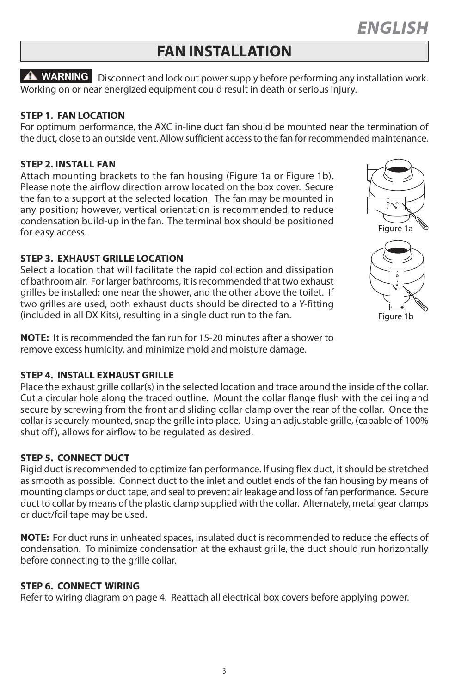# **FAN INSTALLATION**

**WARNING** Disconnect and lock out power supply before performing any installation work. Working on or near energized equipment could result in death or serious injury.

#### **STEP 1. FAN LOCATION**

For optimum performance, the AXC in-line duct fan should be mounted near the termination of the duct, close to an outside vent. Allow sufficient accessto the fan for recommended maintenance.

#### **STEP 2. INSTALL FAN**

Attach mounting brackets to the fan housing (Figure 1a or Figure 1b). Please note the airflow direction arrow located on the box cover. Secure the fan to a support at the selected location. The fan may be mounted in any position; however, vertical orientation is recommended to reduce condensation build-up in the fan. The terminal box should be positioned for easy access.

#### **STEP 3. EXHAUST GRILLE LOCATION**

Select a location that will facilitate the rapid collection and dissipation of bathroom air. For larger bathrooms, it isrecommended that two exhaust grilles be installed: one near the shower, and the other above the toilet. If two grilles are used, both exhaust ducts should be directed to a Y-fitting (included in all DX Kits), resulting in a single duct run to the fan.

**NOTE:** It is recommended the fan run for 15-20 minutes after a shower to remove excess humidity, and minimize mold and moisture damage.

#### **STEP 4. INSTALL EXHAUST GRILLE**

Place the exhaust grille collar(s) in the selected location and trace around the inside of the collar. Cut a circular hole along the traced outline. Mount the collar flange flush with the ceiling and secure by screwing from the front and sliding collar clamp over the rear of the collar. Once the collar is securely mounted, snap the grille into place. Using an adjustable grille, (capable of 100% shut off), allows for airflow to be regulated as desired.

#### **STEP 5. CONNECT DUCT**

Rigid duct is recommended to optimize fan performance. If using flex duct, it should be stretched as smooth as possible. Connect duct to the inlet and outlet ends of the fan housing by means of mounting clamps or duct tape, and seal to prevent air leakage and loss of fan performance. Secure duct to collar by means of the plastic clamp supplied with the collar. Alternately, metal gear clamps or duct/foil tape may be used.

NOTE: For duct runs in unheated spaces, insulated duct is recommended to reduce the effects of condensation. To minimize condensation at the exhaust grille, the duct should run horizontally before connecting to the grille collar.

#### **STEP 6. CONNECT WIRING**

Refer to wiring diagram on page 4. Reattach all electrical box covers before applying power.

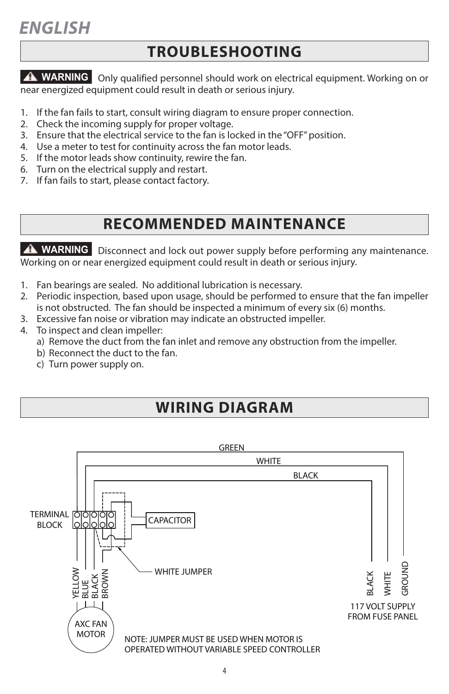## **TROUBLESHOOTING**

**WARNING** Only qualified personnel should work on electrical equipment. Working on or near energized equipment could result in death or serious injury.

- 1. If the fan fails to start, consult wiring diagram to ensure proper connection.
- 2. Check the incoming supply for proper voltage.
- 3. Ensure that the electrical service to the fan is locked in the "OFF" position.
- 4. Use a meter to test for continuity across the fan motor leads.
- 5. If the motor leads show continuity, rewire the fan.
- 6. Turn on the electrical supply and restart.
- 7. If fan fails to start, please contact factory.

### **RECOMMENDED MAINTENANCE**

**WARNING** Disconnect and lock out power supply before performing any maintenance. Working on or near energized equipment could result in death or serious injury.

- 1. Fan bearings are sealed. No additional lubrication is necessary.
- 2. Periodic inspection, based upon usage, should be performed to ensure that the fan impeller is not obstructed. The fan should be inspected a minimum of every six (6) months.
- 3. Excessive fan noise or vibration may indicate an obstructed impeller.
- 4. To inspect and clean impeller:
	- a) Remove the duct from the fan inlet and remove any obstruction from the impeller.
	- b) Reconnect the duct to the fan.
	- c) Turn power supply on.

# **WIRING DIAGRAM**

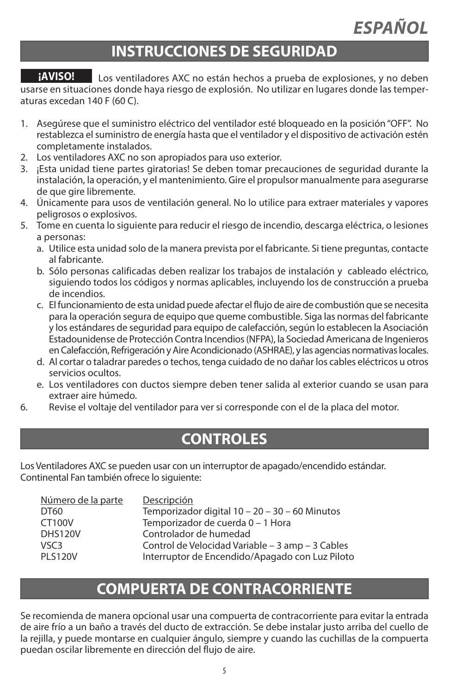# **INSTRUCCIONES DE SEGURIDAD**

Los ventiladores AXC no están hechos a prueba de explosiones, y no deben usarse en situaciones donde haya riesgo de explosión. No utilizar en lugares donde las temperaturas excedan 140 F (60 C). **¡AVISO!**

- 1. Asegúrese que el suministro eléctrico del ventilador esté bloqueado en la posición"OFF". No restablezca el suministro de energía hasta que el ventilador y el dispositivo de activación estén completamente instalados.
- 2. Los ventiladores AXC no son apropiados para uso exterior.
- 3. ¡Esta unidad tiene partes giratorias! Se deben tomar precauciones de seguridad durante la instalación, la operación, y el mantenimiento. Gire el propulsor manualmente para asegurarse de que gire libremente.
- 4. Únicamente para usos de ventilación general. No lo utilice para extraer materiales y vapores peligrosos o explosivos.
- 5. Tome en cuenta lo siguiente para reducir el riesgo de incendio, descarga eléctrica, o lesiones a personas:
	- a. Utilice esta unidad solo de la manera prevista por el fabricante. Si tiene preguntas, contacte al fabricante.
	- b. Sólo personas calificadas deben realizar los trabajos de instalación y cableado eléctrico, siguiendo todos los códigos y normas aplicables, incluyendo los de construcción a prueba de incendios.
	- c. El funcionamiento de esta unidad puede afectar el flujo de aire de combustión que se necesita para la operación segura de equipo que queme combustible. Siga las normas del fabricante y los estándares de seguridad para equipo de calefacción, según lo establecen la Asociación Estadounidense de Protección Contra Incendios(NFPA), la Sociedad Americana de Ingenieros en Calefacción, Refrigeración y Aire Acondicionado (ASHRAE), y las agencias normativas locales.
	- d. Al cortar o taladrar paredes o techos, tenga cuidado de no dañar los cables eléctricos u otros servicios ocultos.
	- e. Los ventiladores con ductos siempre deben tener salida al exterior cuando se usan para extraer aire húmedo.
- 6. Revise el voltaje del ventilador para ver si corresponde con el de la placa del motor.

### **CONTROLES**

Los Ventiladores AXC se pueden usar con un interruptor de apagado/encendido estándar. Continental Fan también ofrece lo siguiente:

| Número de la parte | Descripción                                      |
|--------------------|--------------------------------------------------|
| DT60               | Temporizador digital 10 - 20 - 30 - 60 Minutos   |
| CT100V             | Temporizador de cuerda 0 - 1 Hora                |
| <b>DHS120V</b>     | Controlador de humedad                           |
| VSC <sub>3</sub>   | Control de Velocidad Variable - 3 amp - 3 Cables |
| <b>PI S120V</b>    | Interruptor de Encendido/Apagado con Luz Piloto  |
|                    |                                                  |

### **COMPUERTA DE CONTRACORRIENTE**

Se recomienda de manera opcional usar una compuerta de contracorriente para evitar la entrada de aire frío a un baño a través del ducto de extracción. Se debe instalar justo arriba del cuello de la rejilla, y puede montarse en cualquier ángulo, siempre y cuando las cuchillas de la compuerta puedan oscilar libremente en dirección del flujo de aire.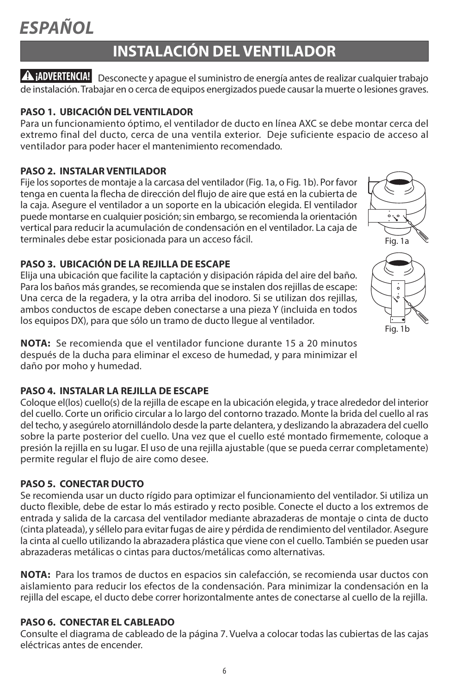# **INSTALACIÓN DEL VENTILADOR**

Desconecte y apague elsuministro de energía antes de realizar cualquier trabajo **¡ADVERTENCIA!** de instalación.Trabajar en o cerca de equipos energizados puede causarla muerte o lesiones graves.

#### **PASO 1. UBICACIÓN DEL VENTILADOR**

Para un funcionamiento óptimo, el ventilador de ducto en línea AXC se debe montar cerca del extremo final del ducto, cerca de una ventila exterior. Deje suficiente espacio de acceso al ventilador para poder hacer el mantenimiento recomendado.

#### **PASO 2. INSTALAR VENTILADOR**

Fije los soportes de montaje a la carcasa del ventilador (Fig. 1a, o Fig. 1b). Por favor tenga en cuenta la flecha de dirección del flujo de aire que está en la cubierta de la caja. Asegure el ventilador a un soporte en la ubicación elegida. El ventilador puede montarse en cualquier posición; sin embargo, se recomienda la orientación vertical para reducir la acumulación de condensación en el ventilador. La caja de terminales debe estar posicionada para un acceso fácil.

#### **PASO 3. UBICACIÓN DE LA REJILLA DE ESCAPE**

Elija una ubicación que facilite la captación y disipación rápida del aire del baño. Para los baños más grandes, se recomienda que se instalen dos rejillas de escape: Una cerca de la regadera, y la otra arriba del inodoro. Si se utilizan dos rejillas, ambos conductos de escape deben conectarse a una pieza Y (incluida en todos los equipos DX), para que sólo un tramo de ducto llegue al ventilador.

**NOTA:** Se recomienda que el ventilador funcione durante 15 a 20 minutos después de la ducha para eliminar el exceso de humedad, y para minimizar el daño por moho y humedad.

#### **PASO 4. INSTALAR LA REJILLA DE ESCAPE**

Coloque el(los) cuello(s) de la rejilla de escape en la ubicación elegida, y trace alrededor del interior del cuello. Corte un orificio circular a lo largo del contorno trazado. Monte la brida del cuello al ras del techo, y asegúrelo atornillándolo desde la parte delantera, y deslizando la abrazadera del cuello sobre la parte posterior del cuello. Una vez que el cuello esté montado firmemente, coloque a presión la rejilla en su lugar. El uso de una rejilla ajustable (que se pueda cerrar completamente) permite regular el flujo de aire como desee.

#### **PASO 5. CONECTAR DUCTO**

Se recomienda usar un ducto rígido para optimizar el funcionamiento del ventilador. Si utiliza un ducto flexible, debe de estar lo más estirado y recto posible. Conecte el ducto a los extremos de entrada y salida de la carcasa del ventilador mediante abrazaderas de montaje o cinta de ducto (cinta plateada), y séllelo para evitar fugas de aire y pérdida de rendimiento del ventilador. Asegure la cinta al cuello utilizando la abrazadera plástica que viene con el cuello. También se pueden usar abrazaderas metálicas o cintas para ductos/metálicas como alternativas.

**NOTA:** Para los tramos de ductos en espacios sin calefacción, se recomienda usar ductos con aislamiento para reducir los efectos de la condensación. Para minimizar la condensación en la rejilla del escape, el ducto debe correr horizontalmente antes de conectarse al cuello de la rejilla.

#### **PASO 6. CONECTAR EL CABLEADO**

Consulte el diagrama de cableado de la página 7. Vuelva a colocar todas las cubiertas de las cajas eléctricas antes de encender.

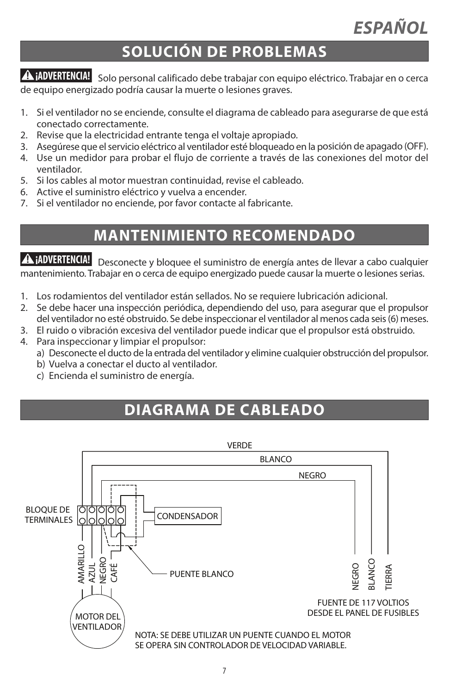# **SOLUCIÓN DE PROBLEMAS**

**¡ADVERTENCIA!** Solo personal calificado debe trabajar con equipo eléctrico. Trabajar en o cerca de equipo energizado podría causar la muerte o lesiones graves.

- 1. Si el ventilador no se enciende, consulte el diagrama de cableado para asegurarse de que está conectado correctamente.
- 2. Revise que la electricidad entrante tenga el voltaje apropiado.
- 3. Asegúrese que el servicio eléctrico al ventilador esté bloqueado en la posición de apagado (OFF).
- 4. Use un medidor para probar el flujo de corriente a través de las conexiones del motor del ventilador.
- 5. Si los cables al motor muestran continuidad, revise el cableado.
- 6. Active el suministro eléctrico y vuelva a encender.
- 7. Si el ventilador no enciende, por favor contacte al fabricante.

# **MANTENIMIENTO RECOMENDADO**

Desconecte y bloquee el suministro de energía antes de llevar a cabo cualquier **¡ADVERTENCIA!** mantenimiento. Trabajar en o cerca de equipo energizado puede causar la muerte o lesionesserias.

- 1. Los rodamientos del ventilador están sellados. No se requiere lubricación adicional.
- 2. Se debe hacer una inspección periódica, dependiendo del uso, para asegurar que el propulsor del ventilador no esté obstruido. Se debe inspeccionar el ventilador al menos cada seis(6) meses.
- 3. El ruido o vibración excesiva del ventilador puede indicar que el propulsor está obstruido.
- 4. Para inspeccionar y limpiar el propulsor:
	- a) Desconecte el ducto de la entrada del ventilador y elimine cualquier obstrucción del propulsor.
	- b) Vuelva a conectar el ducto al ventilador.
	- c) Encienda el suministro de energía.

# **DIAGRAMA DE CABLEADO**

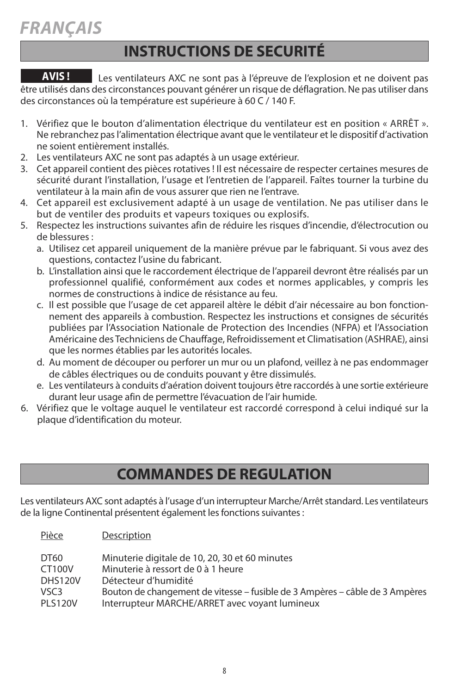### **INSTRUCTIONS DE SECURITÉ**

Les ventilateurs AXC ne sont pas à l'épreuve de l'explosion et ne doivent pas être utilisés dans des circonstances pouvant générer un risque de déflagration. Ne pas utiliser dans des circonstances où la température est supérieure à 60 C / 140 F. **AVIS !**

- 1. Vérifiez que le bouton d'alimentation électrique du ventilateur est en position « ARRêT ». Ne rebranchez pasl'alimentation électrique avant que le ventilateur et le dispositif d'activation ne soient entièrement installés.
- 2. Les ventilateurs AXC ne sont pas adaptés à un usage extérieur.
- 3. Cet appareil contient des pièces rotatives ! Il est nécessaire de respecter certaines mesures de sécurité durant l'installation, l'usage et l'entretien de l'appareil. Faîtes tourner la turbine du ventilateur à la main afin de vous assurer que rien ne l'entrave.
- 4. Cet appareil est exclusivement adapté à un usage de ventilation. Ne pas utiliser dans le but de ventiler des produits et vapeurs toxiques ou explosifs.
- 5. Respectez les instructions suivantes afin de réduire les risques d'incendie, d'électrocution ou de blessures :
	- a. Utilisez cet appareil uniquement de la manière prévue par le fabriquant. Si vous avez des questions, contactez l'usine du fabricant.
	- b. L'installation ainsi que le raccordement électrique de l'appareil devront être réalisés par un professionnel qualifié, conformément aux codes et normes applicables, y compris les normes de constructions à indice de résistance au feu.
	- c. Il est possible que l'usage de cet appareil altère le débit d'air nécessaire au bon fonctionnement des appareils à combustion. Respectez les instructions et consignes de sécurités publiées par l'Association Nationale de Protection des Incendies (NFPA) et l'Association Américaine des Techniciens de Chauffage, Refroidissement et Climatisation (ASHRAE), ainsi que les normes établies par les autorités locales.
	- d. Au moment de découper ou perforer un mur ou un plafond, veillez à ne pas endommager de câbles électriques ou de conduits pouvant y être dissimulés.
	- e. Les ventilateurs à conduits d'aération doivent toujours être raccordés à une sortie extérieure durant leur usage afin de permettre l'évacuation de l'air humide.
- 6. Vérifiez que le voltage auquel le ventilateur est raccordé correspond à celui indiqué sur la plaque d'identification du moteur.

# **COMMANDES DE REGULATION**

Les ventilateurs AXC sont adaptés à l'usage d'un interrupteur Marche/Arrêt standard. Les ventilateurs de la ligne Continental présentent également les fonctions suivantes :

Pièce Description

| DT60<br>CT100V<br><b>DHS120V</b><br>VSC3 | Minuterie digitale de 10, 20, 30 et 60 minutes<br>Minuterie à ressort de 0 à 1 heure<br>Détecteur d'humidité<br>Bouton de changement de vitesse – fusible de 3 Ampères – câble de 3 Ampères |
|------------------------------------------|---------------------------------------------------------------------------------------------------------------------------------------------------------------------------------------------|
| <b>PLS120V</b>                           | Interrupteur MARCHE/ARRET avec voyant lumineux                                                                                                                                              |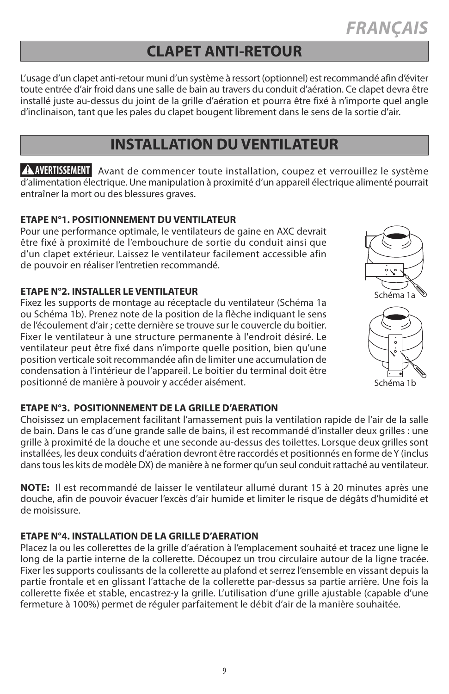#### **CLAPET ANTI-RETOUR**

L'usage d'un clapet anti-retour muni d'un système à ressort(optionnel) estrecommandé afin d'éviter toute entrée d'air froid dans une salle de bain au travers du conduit d'aération. Ce clapet devra être installé juste au-dessus du joint de la grille d'aération et pourra être fixé à n'importe quel angle d'inclinaison, tant que les pales du clapet bougent librement dans le sens de la sortie d'air.

### **INSTALLATION DU VENTILATEUR**

**AVERTISSEMENT** Avant de commencer toute installation, coupez et verrouillez le système d'alimentation électrique. Une manipulation à proximité d'un appareil électrique alimenté pourrait entraîner la mort ou des blessures graves.

#### **ETAPE N°1. POSITIONNEMENT DUVENTILATEUR**

Pour une performance optimale, le ventilateurs de gaine en AXC devrait être fixé à proximité de l'embouchure de sortie du conduit ainsi que d'un clapet extérieur. Laissez le ventilateur facilement accessible afin de pouvoir en réaliser l'entretien recommandé.

#### **ETAPE N°2. INSTALLER LE VENTILATEUR**

Fixez les supports de montage au réceptacle du ventilateur (Schéma 1a ou Schéma 1b). Prenez note de la position de la flèche indiquant le sens de l'écoulement d'air ; cette dernière se trouve sur le couvercle du boitier. Fixer le ventilateur à une structure permanente à l'endroit désiré. Le ventilateur peut être fixé dans n'importe quelle position, bien qu'une position verticale soit recommandée afin de limiter une accumulation de condensation à l'intérieur de l'appareil. Le boitier du terminal doit être positionné de manière à pouvoir y accéder aisément.

#### **ETAPE N°3. POSITIONNEMENT DE LA GRILLE D'AERATION**

Choisissez un emplacement facilitant l'amassement puis la ventilation rapide de l'air de la salle de bain. Dans le cas d'une grande salle de bains, il est recommandé d'installer deux grilles : une grille à proximité de la douche et une seconde au-dessus des toilettes. Lorsque deux grilles sont installées, les deux conduits d'aération devront être raccordés et positionnés en forme deY (inclus danstousles kits de modèle DX) de manière à ne former qu'un seul conduit rattaché au ventilateur.

**NOTE:** Il est recommandé de laisser le ventilateur allumé durant 15 à 20 minutes après une douche, afin de pouvoir évacuer l'excès d'air humide et limiter le risque de dégâts d'humidité et de moisissure.

#### **ETAPE N°4. INSTALLATION DE LA GRILLE D'AERATION**

Placez la ou les collerettes de la grille d'aération à l'emplacement souhaité et tracez une ligne le long de la partie interne de la collerette. Découpez un trou circulaire autour de la ligne tracée. Fixer les supports coulissants de la collerette au plafond et serrez l'ensemble en vissant depuis la partie frontale et en glissant l'attache de la collerette par-dessus sa partie arrière. Une fois la collerette fixée et stable, encastrez-y la grille. L'utilisation d'une grille ajustable (capable d'une fermeture à 100%) permet de réguler parfaitement le débit d'air de la manière souhaitée.

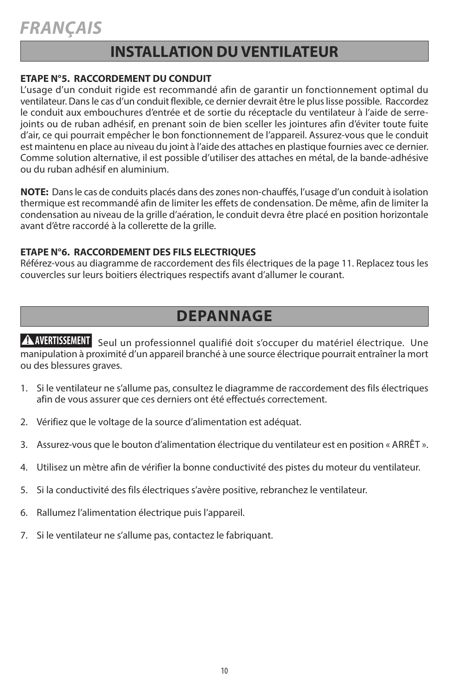### **INSTALLATION DUVENTILATEUR**

#### **ETAPE N°5. RACCORDEMENT DU CONDUIT**

L'usage d'un conduit rigide est recommandé afin de garantir un fonctionnement optimal du ventilateur. Dansle cas d'un conduit flexible, ce dernier devrait être le pluslisse possible. Raccordez le conduit aux embouchures d'entrée et de sortie du réceptacle du ventilateur à l'aide de serrejoints ou de ruban adhésif, en prenant soin de bien sceller les jointures afin d'éviter toute fuite d'air, ce qui pourrait empêcher le bon fonctionnement de l'appareil. Assurez-vous que le conduit est maintenu en place au niveau du joint à l'aide des attaches en plastique fournies avec ce dernier. Comme solution alternative, il est possible d'utiliser des attaches en métal, de la bande-adhésive ou du ruban adhésif en aluminium.

**NOTE:** Dansle cas de conduits placés dans des zones non-chauffés, l'usage d'un conduit à isolation thermique est recommandé afin de limiter les effets de condensation. De même, afin de limiter la condensation au niveau de la grille d'aération, le conduit devra être placé en position horizontale avant d'être raccordé à la collerette de la grille.

#### **ETAPE N°6. RACCORDEMENT DES FILS ELECTRIQUES**

Référez-vous au diagramme de raccordement des fils électriques de la page 11. Replacez tous les couvercles sur leurs boitiers électriques respectifs avant d'allumer le courant.

### **DEPANNAGE**

**AVERTISSEMENT** Seul un professionnel qualifié doit s'occuper du matériel électrique. Une manipulation à proximité d'un appareil branché à une source électrique pourrait entraîner la mort ou des blessures graves.

- 1. Si le ventilateur ne s'allume pas, consultez le diagramme de raccordement des fils électriques afin de vous assurer que ces derniers ont été effectués correctement.
- 2. Vérifiez que le voltage de la source d'alimentation est adéquat.
- 3. Assurez-vous que le bouton d'alimentation électrique du ventilateur est en position « ARRêT ».
- 4. Utilisez un mètre afin de vérifier la bonne conductivité des pistes du moteur du ventilateur.
- 5. Si la conductivité des fils électriques s'avère positive, rebranchez le ventilateur.
- 6. Rallumez l'alimentation électrique puis l'appareil.
- 7. Si le ventilateur ne s'allume pas, contactez le fabriquant.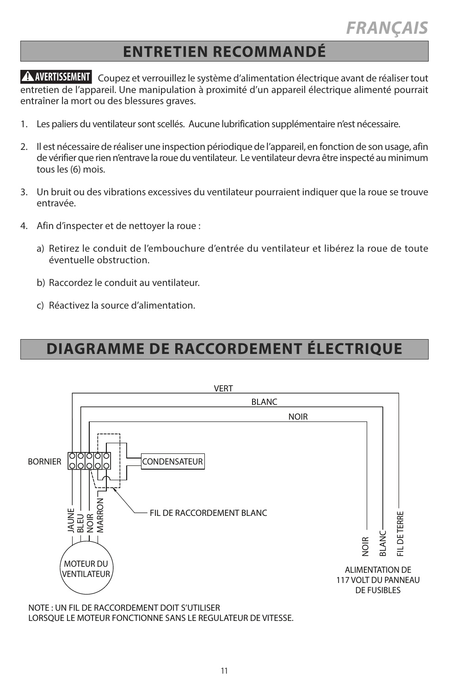### **ENTRETIEN RECOMMANDÉ**

Coupez et verrouillez le système d'alimentation électrique avant de réaliser tout **AVERTISSEMENT** entretien de l'appareil. Une manipulation à proximité d'un appareil électrique alimenté pourrait entraîner la mort ou des blessures graves.

- 1. Les paliers du ventilateur sont scellés. Aucune lubrification supplémentaire n'est nécessaire.
- 2. Il est nécessaire de réaliser une inspection périodique de l'appareil, en fonction de son usage, afin de vérifier que rien n'entrave la roue du ventilateur. Le ventilateur devra être inspecté au minimum tous les (6) mois.
- 3. Un bruit ou des vibrations excessives du ventilateur pourraient indiquer que la roue se trouve entravée.
- 4. Afin d'inspecter et de nettoyer la roue :
	- a) Retirez le conduit de l'embouchure d'entrée du ventilateur et libérez la roue de toute éventuelle obstruction.
	- b) Raccordez le conduit au ventilateur.
	- c) Réactivez la source d'alimentation.

# **DIAGRAMME DE RACCORDEMENT ÉLECTRIQUE**



NOTE : UN FIL DE RACCORDEMENT DOIT S'UTILISER LORSQUE LE MOTEUR FONCTIONNE SANS LE REGULATEUR DE VITESSE.